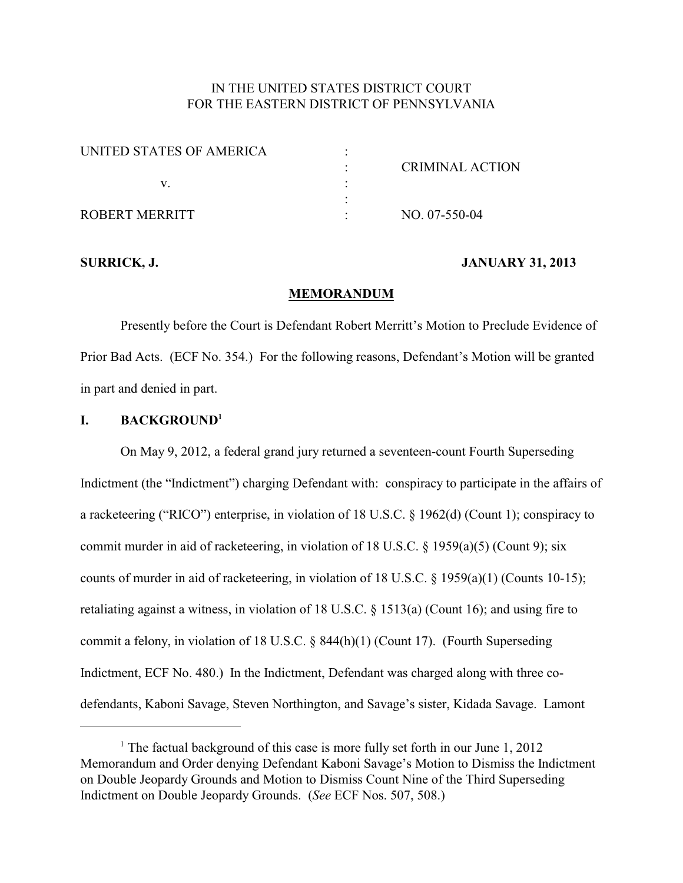# IN THE UNITED STATES DISTRICT COURT FOR THE EASTERN DISTRICT OF PENNSYLVANIA

| UNITED STATES OF AMERICA |                 |  |
|--------------------------|-----------------|--|
|                          | CRIMINAL ACTION |  |
|                          |                 |  |
|                          |                 |  |
| ROBERT MERRITT           | NO. 07-550-04   |  |

#### **SURRICK, J. JANUARY 31, 2013**

#### **MEMORANDUM**

Presently before the Court is Defendant Robert Merritt's Motion to Preclude Evidence of Prior Bad Acts. (ECF No. 354.) For the following reasons, Defendant's Motion will be granted in part and denied in part.

## **I. BACKGROUND<sup>1</sup>**

On May 9, 2012, a federal grand jury returned a seventeen-count Fourth Superseding Indictment (the "Indictment") charging Defendant with: conspiracy to participate in the affairs of a racketeering ("RICO") enterprise, in violation of 18 U.S.C. § 1962(d) (Count 1); conspiracy to commit murder in aid of racketeering, in violation of 18 U.S.C. § 1959(a)(5) (Count 9); six counts of murder in aid of racketeering, in violation of 18 U.S.C. § 1959(a)(1) (Counts 10-15); retaliating against a witness, in violation of 18 U.S.C. § 1513(a) (Count 16); and using fire to commit a felony, in violation of 18 U.S.C. § 844(h)(1) (Count 17). (Fourth Superseding Indictment, ECF No. 480.) In the Indictment, Defendant was charged along with three codefendants, Kaboni Savage, Steven Northington, and Savage's sister, Kidada Savage. Lamont

<sup>&</sup>lt;sup>1</sup> The factual background of this case is more fully set forth in our June  $1, 2012$ Memorandum and Order denying Defendant Kaboni Savage's Motion to Dismiss the Indictment on Double Jeopardy Grounds and Motion to Dismiss Count Nine of the Third Superseding Indictment on Double Jeopardy Grounds. (*See* ECF Nos. 507, 508.)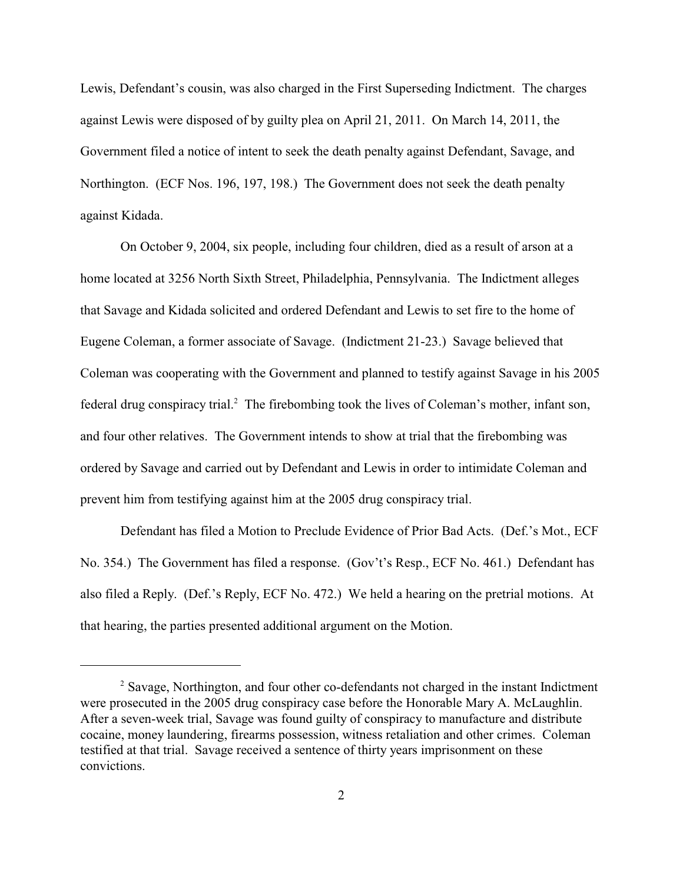Lewis, Defendant's cousin, was also charged in the First Superseding Indictment. The charges against Lewis were disposed of by guilty plea on April 21, 2011. On March 14, 2011, the Government filed a notice of intent to seek the death penalty against Defendant, Savage, and Northington. (ECF Nos. 196, 197, 198.) The Government does not seek the death penalty against Kidada.

On October 9, 2004, six people, including four children, died as a result of arson at a home located at 3256 North Sixth Street, Philadelphia, Pennsylvania. The Indictment alleges that Savage and Kidada solicited and ordered Defendant and Lewis to set fire to the home of Eugene Coleman, a former associate of Savage. (Indictment 21-23.) Savage believed that Coleman was cooperating with the Government and planned to testify against Savage in his 2005 federal drug conspiracy trial.<sup>2</sup> The firebombing took the lives of Coleman's mother, infant son, and four other relatives. The Government intends to show at trial that the firebombing was ordered by Savage and carried out by Defendant and Lewis in order to intimidate Coleman and prevent him from testifying against him at the 2005 drug conspiracy trial.

Defendant has filed a Motion to Preclude Evidence of Prior Bad Acts. (Def.'s Mot., ECF No. 354.) The Government has filed a response. (Gov't's Resp., ECF No. 461.) Defendant has also filed a Reply. (Def.'s Reply, ECF No. 472.) We held a hearing on the pretrial motions. At that hearing, the parties presented additional argument on the Motion.

<sup>&</sup>lt;sup>2</sup> Savage, Northington, and four other co-defendants not charged in the instant Indictment were prosecuted in the 2005 drug conspiracy case before the Honorable Mary A. McLaughlin. After a seven-week trial, Savage was found guilty of conspiracy to manufacture and distribute cocaine, money laundering, firearms possession, witness retaliation and other crimes. Coleman testified at that trial. Savage received a sentence of thirty years imprisonment on these convictions.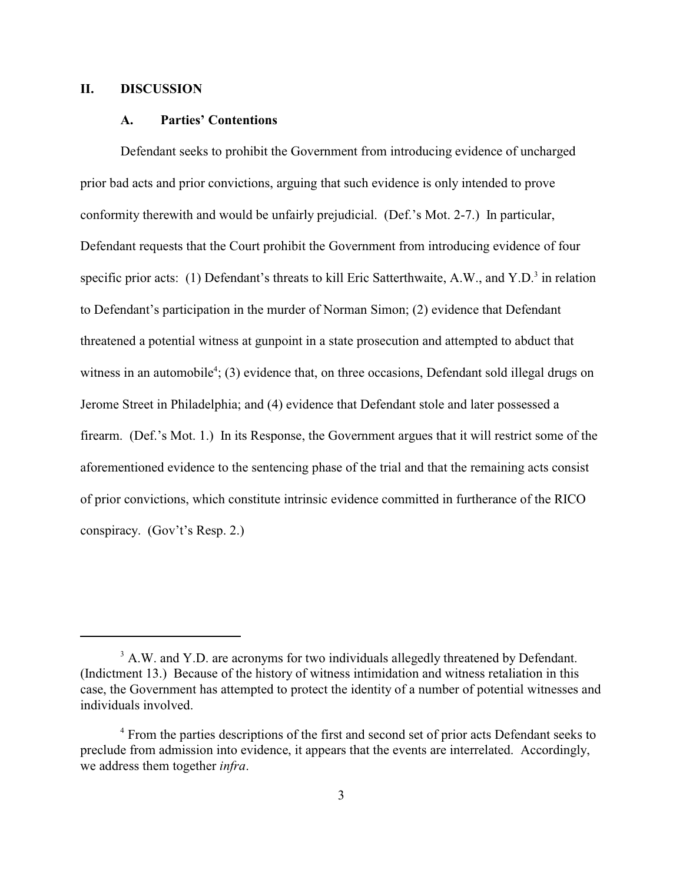## **II. DISCUSSION**

#### **A. Parties' Contentions**

Defendant seeks to prohibit the Government from introducing evidence of uncharged prior bad acts and prior convictions, arguing that such evidence is only intended to prove conformity therewith and would be unfairly prejudicial. (Def.'s Mot. 2-7.) In particular, Defendant requests that the Court prohibit the Government from introducing evidence of four specific prior acts: (1) Defendant's threats to kill Eric Satterthwaite, A.W., and Y.D.<sup>3</sup> in relation to Defendant's participation in the murder of Norman Simon; (2) evidence that Defendant threatened a potential witness at gunpoint in a state prosecution and attempted to abduct that witness in an automobile<sup>4</sup>; (3) evidence that, on three occasions, Defendant sold illegal drugs on Jerome Street in Philadelphia; and (4) evidence that Defendant stole and later possessed a firearm. (Def.'s Mot. 1.) In its Response, the Government argues that it will restrict some of the aforementioned evidence to the sentencing phase of the trial and that the remaining acts consist of prior convictions, which constitute intrinsic evidence committed in furtherance of the RICO conspiracy. (Gov't's Resp. 2.)

<sup>&</sup>lt;sup>3</sup> A.W. and Y.D. are acronyms for two individuals allegedly threatened by Defendant. (Indictment 13.) Because of the history of witness intimidation and witness retaliation in this case, the Government has attempted to protect the identity of a number of potential witnesses and individuals involved.

<sup>&</sup>lt;sup>4</sup> From the parties descriptions of the first and second set of prior acts Defendant seeks to preclude from admission into evidence, it appears that the events are interrelated. Accordingly, we address them together *infra*.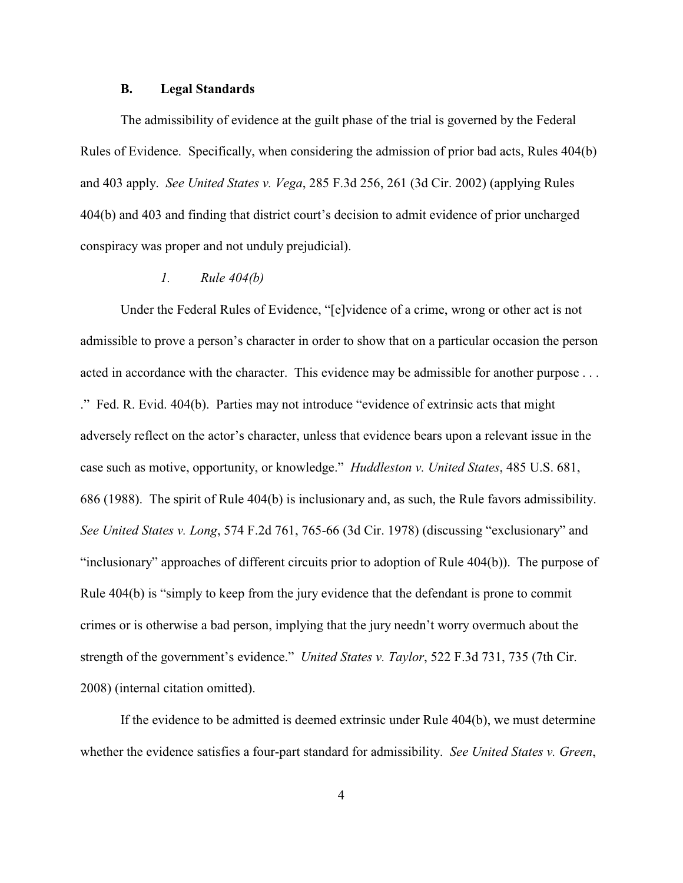#### **B. Legal Standards**

The admissibility of evidence at the guilt phase of the trial is governed by the Federal Rules of Evidence. Specifically, when considering the admission of prior bad acts, Rules 404(b) and 403 apply. *See United States v. Vega*, 285 F.3d 256, 261 (3d Cir. 2002) (applying Rules 404(b) and 403 and finding that district court's decision to admit evidence of prior uncharged conspiracy was proper and not unduly prejudicial).

## *1. Rule 404(b)*

Under the Federal Rules of Evidence, "[e]vidence of a crime, wrong or other act is not admissible to prove a person's character in order to show that on a particular occasion the person acted in accordance with the character. This evidence may be admissible for another purpose . . . ." Fed. R. Evid. 404(b). Parties may not introduce "evidence of extrinsic acts that might adversely reflect on the actor's character, unless that evidence bears upon a relevant issue in the case such as motive, opportunity, or knowledge." *Huddleston v. United States*, 485 U.S. 681, 686 (1988). The spirit of Rule 404(b) is inclusionary and, as such, the Rule favors admissibility. *See United States v. Long*, 574 F.2d 761, 765-66 (3d Cir. 1978) (discussing "exclusionary" and "inclusionary" approaches of different circuits prior to adoption of Rule 404(b)). The purpose of Rule 404(b) is "simply to keep from the jury evidence that the defendant is prone to commit crimes or is otherwise a bad person, implying that the jury needn't worry overmuch about the strength of the government's evidence." *United States v. Taylor*, 522 F.3d 731, 735 (7th Cir. 2008) (internal citation omitted).

If the evidence to be admitted is deemed extrinsic under Rule 404(b), we must determine whether the evidence satisfies a four-part standard for admissibility. *See United States v. Green*,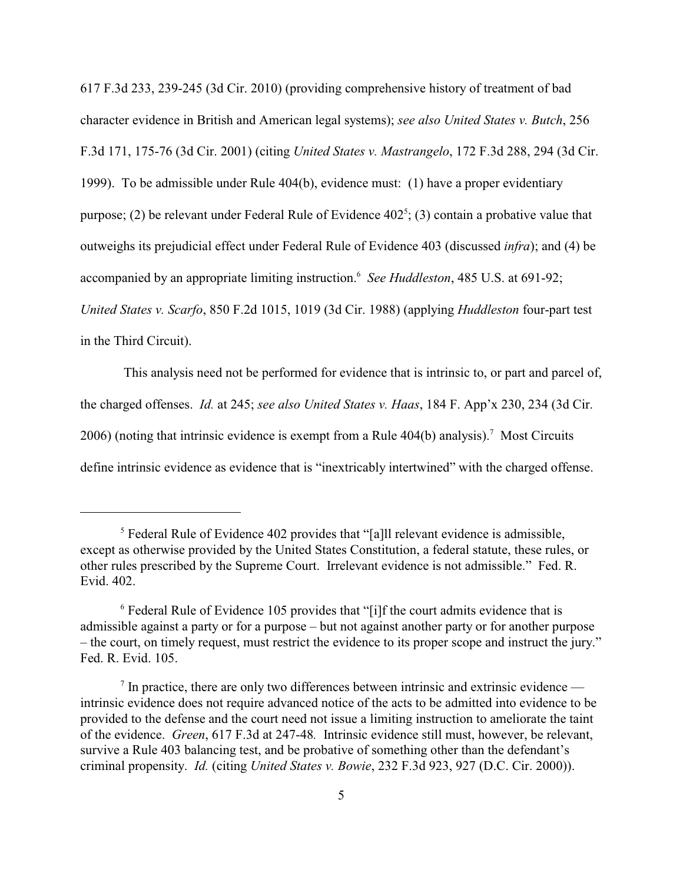617 F.3d 233, 239-245 (3d Cir. 2010) (providing comprehensive history of treatment of bad character evidence in British and American legal systems); *see also United States v. Butch*, 256 F.3d 171, 175-76 (3d Cir. 2001) (citing *United States v. Mastrangelo*, 172 F.3d 288, 294 (3d Cir. 1999). To be admissible under Rule 404(b), evidence must: (1) have a proper evidentiary purpose; (2) be relevant under Federal Rule of Evidence  $402^5$ ; (3) contain a probative value that outweighs its prejudicial effect under Federal Rule of Evidence 403 (discussed *infra*); and (4) be accompanied by an appropriate limiting instruction. *See Huddleston*, 485 U.S. at 691-92; <sup>6</sup> *United States v. Scarfo*, 850 F.2d 1015, 1019 (3d Cir. 1988) (applying *Huddleston* four-part test in the Third Circuit).

 This analysis need not be performed for evidence that is intrinsic to, or part and parcel of, the charged offenses. *Id.* at 245; *see also United States v. Haas*, 184 F. App'x 230, 234 (3d Cir. 2006) (noting that intrinsic evidence is exempt from a Rule  $404(b)$  analysis).<sup>7</sup> Most Circuits define intrinsic evidence as evidence that is "inextricably intertwined" with the charged offense.

 $<sup>5</sup>$  Federal Rule of Evidence 402 provides that "[a]ll relevant evidence is admissible,</sup> except as otherwise provided by the United States Constitution, a federal statute, these rules, or other rules prescribed by the Supreme Court. Irrelevant evidence is not admissible." Fed. R. Evid. 402.

 $6$  Federal Rule of Evidence 105 provides that "[i]f the court admits evidence that is admissible against a party or for a purpose – but not against another party or for another purpose – the court, on timely request, must restrict the evidence to its proper scope and instruct the jury." Fed. R. Evid. 105.

 $7$  In practice, there are only two differences between intrinsic and extrinsic evidence intrinsic evidence does not require advanced notice of the acts to be admitted into evidence to be provided to the defense and the court need not issue a limiting instruction to ameliorate the taint of the evidence. *Green*, 617 F.3d at 247-48*.* Intrinsic evidence still must, however, be relevant, survive a Rule 403 balancing test, and be probative of something other than the defendant's criminal propensity. *Id.* (citing *United States v. Bowie*, 232 F.3d 923, 927 (D.C. Cir. 2000)).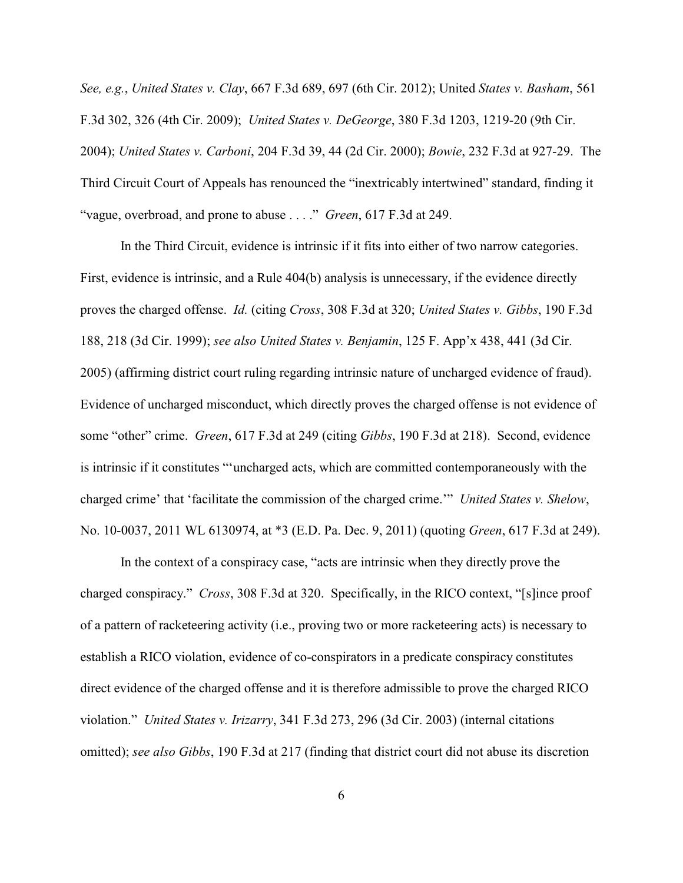*See, e.g.*, *United States v. Clay*, 667 F.3d 689, 697 (6th Cir. 2012); United *States v. Basham*, 561 F.3d 302, 326 (4th Cir. 2009); *United States v. DeGeorge*, 380 F.3d 1203, 1219-20 (9th Cir. 2004); *United States v. Carboni*, 204 F.3d 39, 44 (2d Cir. 2000); *Bowie*, 232 F.3d at 927-29. The Third Circuit Court of Appeals has renounced the "inextricably intertwined" standard, finding it "vague, overbroad, and prone to abuse . . . ." *Green*, 617 F.3d at 249.

In the Third Circuit, evidence is intrinsic if it fits into either of two narrow categories. First, evidence is intrinsic, and a Rule 404(b) analysis is unnecessary, if the evidence directly proves the charged offense. *Id.* (citing *Cross*, 308 F.3d at 320; *United States v. Gibbs*, 190 F.3d 188, 218 (3d Cir. 1999); *see also United States v. Benjamin*, 125 F. App'x 438, 441 (3d Cir. 2005) (affirming district court ruling regarding intrinsic nature of uncharged evidence of fraud). Evidence of uncharged misconduct, which directly proves the charged offense is not evidence of some "other" crime. *Green*, 617 F.3d at 249 (citing *Gibbs*, 190 F.3d at 218). Second, evidence is intrinsic if it constitutes "'uncharged acts, which are committed contemporaneously with the charged crime' that 'facilitate the commission of the charged crime.'" *United States v. Shelow*, No. 10-0037, 2011 WL 6130974, at \*3 (E.D. Pa. Dec. 9, 2011) (quoting *Green*, 617 F.3d at 249).

In the context of a conspiracy case, "acts are intrinsic when they directly prove the charged conspiracy." *Cross*, 308 F.3d at 320. Specifically, in the RICO context, "[s]ince proof of a pattern of racketeering activity (i.e., proving two or more racketeering acts) is necessary to establish a RICO violation, evidence of co-conspirators in a predicate conspiracy constitutes direct evidence of the charged offense and it is therefore admissible to prove the charged RICO violation." *United States v. Irizarry*, 341 F.3d 273, 296 (3d Cir. 2003) (internal citations omitted); *see also Gibbs*, 190 F.3d at 217 (finding that district court did not abuse its discretion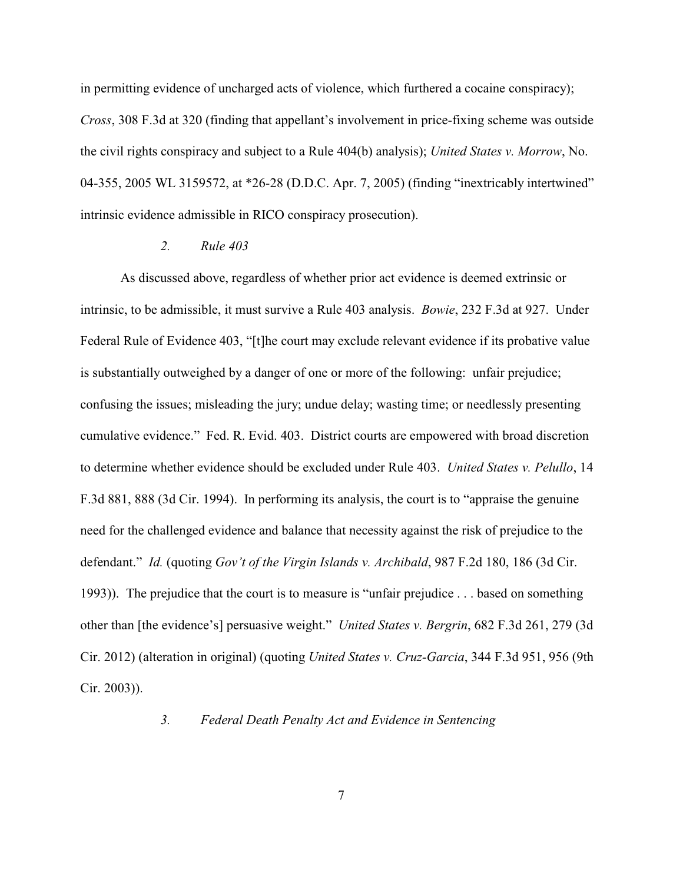in permitting evidence of uncharged acts of violence, which furthered a cocaine conspiracy); *Cross*, 308 F.3d at 320 (finding that appellant's involvement in price-fixing scheme was outside the civil rights conspiracy and subject to a Rule 404(b) analysis); *United States v. Morrow*, No. 04-355, 2005 WL 3159572, at \*26-28 (D.D.C. Apr. 7, 2005) (finding "inextricably intertwined" intrinsic evidence admissible in RICO conspiracy prosecution).

## *2. Rule 403*

As discussed above, regardless of whether prior act evidence is deemed extrinsic or intrinsic, to be admissible, it must survive a Rule 403 analysis. *Bowie*, 232 F.3d at 927. Under Federal Rule of Evidence 403, "[t]he court may exclude relevant evidence if its probative value is substantially outweighed by a danger of one or more of the following: unfair prejudice; confusing the issues; misleading the jury; undue delay; wasting time; or needlessly presenting cumulative evidence." Fed. R. Evid. 403. District courts are empowered with broad discretion to determine whether evidence should be excluded under Rule 403. *United States v. Pelullo*, 14 F.3d 881, 888 (3d Cir. 1994). In performing its analysis, the court is to "appraise the genuine need for the challenged evidence and balance that necessity against the risk of prejudice to the defendant." *Id.* (quoting *Gov't of the Virgin Islands v. Archibald*, 987 F.2d 180, 186 (3d Cir. 1993)). The prejudice that the court is to measure is "unfair prejudice . . . based on something other than [the evidence's] persuasive weight." *United States v. Bergrin*, 682 F.3d 261, 279 (3d Cir. 2012) (alteration in original) (quoting *United States v. Cruz-Garcia*, 344 F.3d 951, 956 (9th Cir. 2003)).

### *3. Federal Death Penalty Act and Evidence in Sentencing*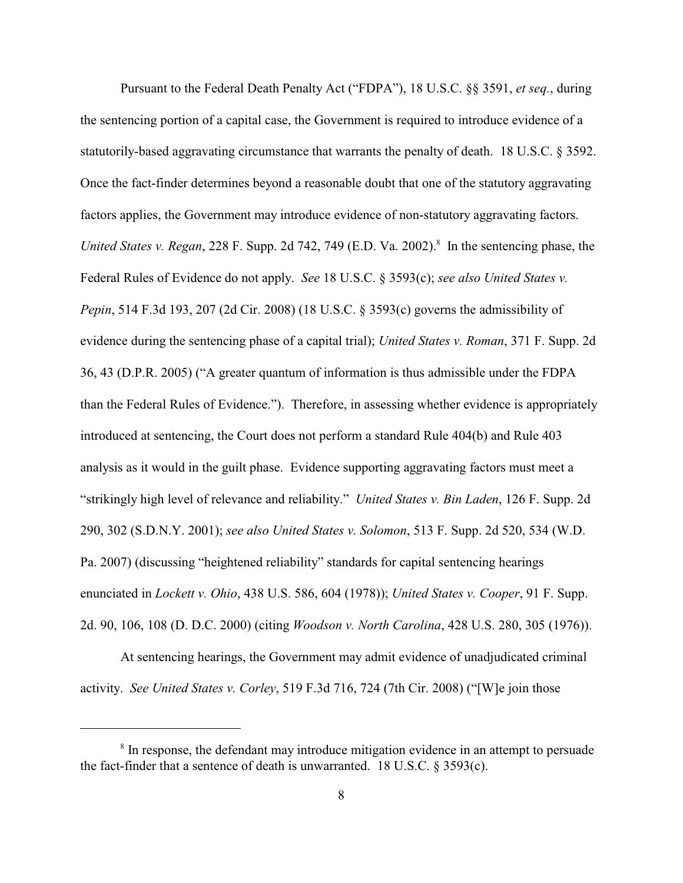Pursuant to the Federal Death Penalty Act ("FDPA"), 18 U.S.C. §§ 3591, *et seq.*, during the sentencing portion of a capital case, the Government is required to introduce evidence of a statutorily-based aggravating circumstance that warrants the penalty of death. 18 U.S.C. § 3592. Once the fact-finder determines beyond a reasonable doubt that one of the statutory aggravating factors applies, the Government may introduce evidence of non-statutory aggravating factors. *United States v. Regan,* 228 F. Supp. 2d 742, 749 (E.D. Va. 2002).<sup>8</sup> In the sentencing phase, the Federal Rules of Evidence do not apply. *See* 18 U.S.C. § 3593(c); *see also United States v. Pepin*, 514 F.3d 193, 207 (2d Cir. 2008) (18 U.S.C. § 3593(c) governs the admissibility of evidence during the sentencing phase of a capital trial); *United States v. Roman*, 371 F. Supp. 2d 36, 43 (D.P.R. 2005) ("A greater quantum of information is thus admissible under the FDPA than the Federal Rules of Evidence."). Therefore, in assessing whether evidence is appropriately introduced at sentencing, the Court does not perform a standard Rule 404(b) and Rule 403 analysis as it would in the guilt phase. Evidence supporting aggravating factors must meet a "strikingly high level of relevance and reliability." *United States v. Bin Laden*, 126 F. Supp. 2d 290, 302 (S.D.N.Y. 2001); *see also United States v. Solomon*, 513 F. Supp. 2d 520, 534 (W.D. Pa. 2007) (discussing "heightened reliability" standards for capital sentencing hearings enunciated in *Lockett v. Ohio*, 438 U.S. 586, 604 (1978)); *United States v. Cooper*, 91 F. Supp. 2d. 90, 106, 108 (D. D.C. 2000) (citing *Woodson v. North Carolina*, 428 U.S. 280, 305 (1976)).

At sentencing hearings, the Government may admit evidence of unadjudicated criminal activity. *See United States v. Corley*, 519 F.3d 716, 724 (7th Cir. 2008) ("[W]e join those

<sup>&</sup>lt;sup>8</sup> In response, the defendant may introduce mitigation evidence in an attempt to persuade the fact-finder that a sentence of death is unwarranted. 18 U.S.C. § 3593(c).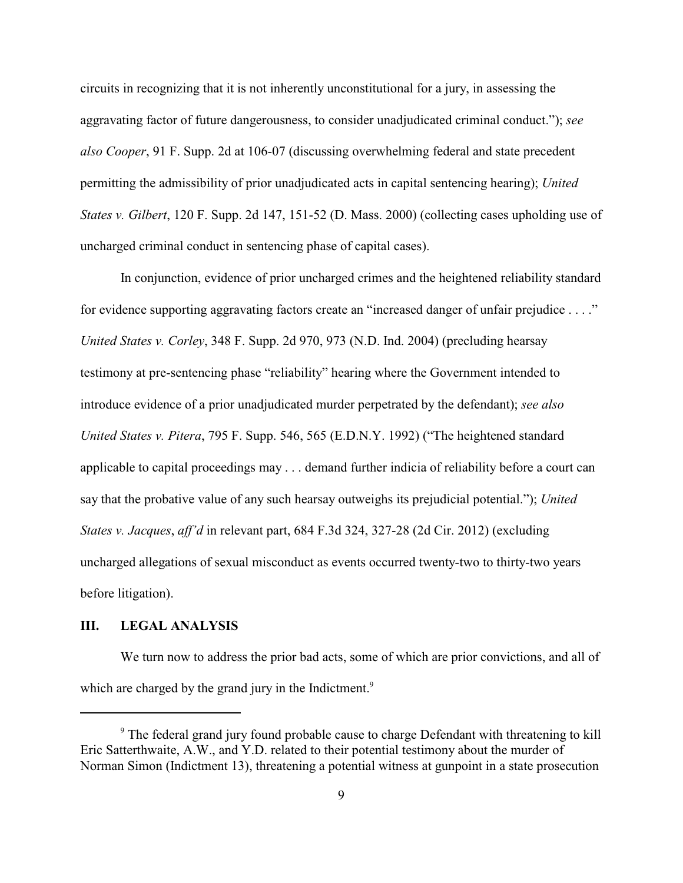circuits in recognizing that it is not inherently unconstitutional for a jury, in assessing the aggravating factor of future dangerousness, to consider unadjudicated criminal conduct."); *see also Cooper*, 91 F. Supp. 2d at 106-07 (discussing overwhelming federal and state precedent permitting the admissibility of prior unadjudicated acts in capital sentencing hearing); *United States v. Gilbert*, 120 F. Supp. 2d 147, 151-52 (D. Mass. 2000) (collecting cases upholding use of uncharged criminal conduct in sentencing phase of capital cases).

In conjunction, evidence of prior uncharged crimes and the heightened reliability standard for evidence supporting aggravating factors create an "increased danger of unfair prejudice . . . ." *United States v. Corley*, 348 F. Supp. 2d 970, 973 (N.D. Ind. 2004) (precluding hearsay testimony at pre-sentencing phase "reliability" hearing where the Government intended to introduce evidence of a prior unadjudicated murder perpetrated by the defendant); *see also United States v. Pitera*, 795 F. Supp. 546, 565 (E.D.N.Y. 1992) ("The heightened standard applicable to capital proceedings may . . . demand further indicia of reliability before a court can say that the probative value of any such hearsay outweighs its prejudicial potential."); *United States v. Jacques*, *aff'd* in relevant part, 684 F.3d 324, 327-28 (2d Cir. 2012) (excluding uncharged allegations of sexual misconduct as events occurred twenty-two to thirty-two years before litigation).

# **III. LEGAL ANALYSIS**

We turn now to address the prior bad acts, some of which are prior convictions, and all of which are charged by the grand jury in the Indictment.<sup>9</sup>

<sup>&</sup>lt;sup>9</sup> The federal grand jury found probable cause to charge Defendant with threatening to kill Eric Satterthwaite, A.W., and Y.D. related to their potential testimony about the murder of Norman Simon (Indictment 13), threatening a potential witness at gunpoint in a state prosecution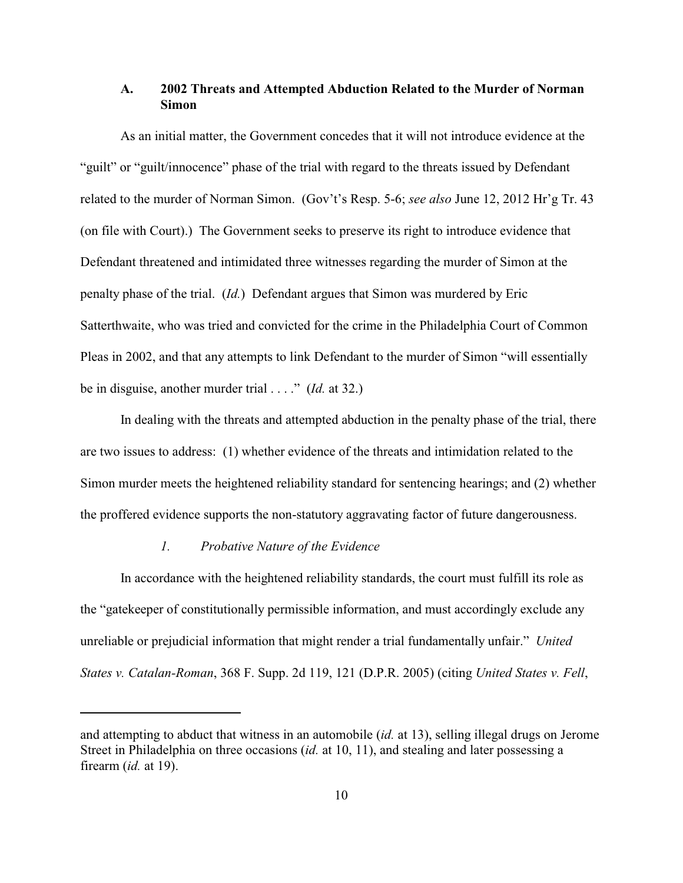## **A. 2002 Threats and Attempted Abduction Related to the Murder of Norman Simon**

As an initial matter, the Government concedes that it will not introduce evidence at the "guilt" or "guilt/innocence" phase of the trial with regard to the threats issued by Defendant related to the murder of Norman Simon. (Gov't's Resp. 5-6; *see also* June 12, 2012 Hr'g Tr. 43 (on file with Court).) The Government seeks to preserve its right to introduce evidence that Defendant threatened and intimidated three witnesses regarding the murder of Simon at the penalty phase of the trial. (*Id.*) Defendant argues that Simon was murdered by Eric Satterthwaite, who was tried and convicted for the crime in the Philadelphia Court of Common Pleas in 2002, and that any attempts to link Defendant to the murder of Simon "will essentially be in disguise, another murder trial . . . ." (*Id.* at 32.)

In dealing with the threats and attempted abduction in the penalty phase of the trial, there are two issues to address: (1) whether evidence of the threats and intimidation related to the Simon murder meets the heightened reliability standard for sentencing hearings; and (2) whether the proffered evidence supports the non-statutory aggravating factor of future dangerousness.

## *1. Probative Nature of the Evidence*

In accordance with the heightened reliability standards, the court must fulfill its role as the "gatekeeper of constitutionally permissible information, and must accordingly exclude any unreliable or prejudicial information that might render a trial fundamentally unfair." *United States v. Catalan-Roman*, 368 F. Supp. 2d 119, 121 (D.P.R. 2005) (citing *United States v. Fell*,

and attempting to abduct that witness in an automobile (*id.* at 13), selling illegal drugs on Jerome Street in Philadelphia on three occasions (*id.* at 10, 11), and stealing and later possessing a firearm (*id.* at 19).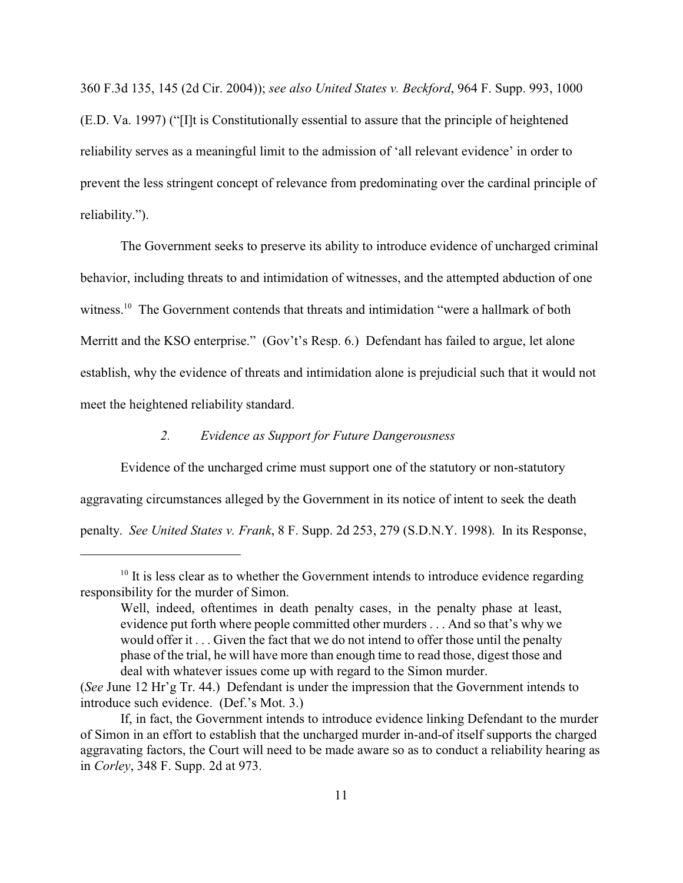360 F.3d 135, 145 (2d Cir. 2004)); *see also United States v. Beckford*, 964 F. Supp. 993, 1000 (E.D. Va. 1997) ("[I]t is Constitutionally essential to assure that the principle of heightened reliability serves as a meaningful limit to the admission of 'all relevant evidence' in order to prevent the less stringent concept of relevance from predominating over the cardinal principle of reliability.").

The Government seeks to preserve its ability to introduce evidence of uncharged criminal behavior, including threats to and intimidation of witnesses, and the attempted abduction of one witness.<sup>10</sup> The Government contends that threats and intimidation "were a hallmark of both Merritt and the KSO enterprise." (Gov't's Resp. 6.) Defendant has failed to argue, let alone establish, why the evidence of threats and intimidation alone is prejudicial such that it would not meet the heightened reliability standard.

# *2. Evidence as Support for Future Dangerousness*

Evidence of the uncharged crime must support one of the statutory or non-statutory aggravating circumstances alleged by the Government in its notice of intent to seek the death penalty. *See United States v. Frank*, 8 F. Supp. 2d 253, 279 (S.D.N.Y. 1998). In its Response,

 $10$  It is less clear as to whether the Government intends to introduce evidence regarding responsibility for the murder of Simon.

Well, indeed, oftentimes in death penalty cases, in the penalty phase at least, evidence put forth where people committed other murders . . . And so that's why we would offer it . . . Given the fact that we do not intend to offer those until the penalty phase of the trial, he will have more than enough time to read those, digest those and deal with whatever issues come up with regard to the Simon murder.

<sup>(</sup>*See* June 12 Hr'g Tr. 44.) Defendant is under the impression that the Government intends to introduce such evidence. (Def.'s Mot. 3.)

If, in fact, the Government intends to introduce evidence linking Defendant to the murder of Simon in an effort to establish that the uncharged murder in-and-of itself supports the charged aggravating factors, the Court will need to be made aware so as to conduct a reliability hearing as in *Corley*, 348 F. Supp. 2d at 973.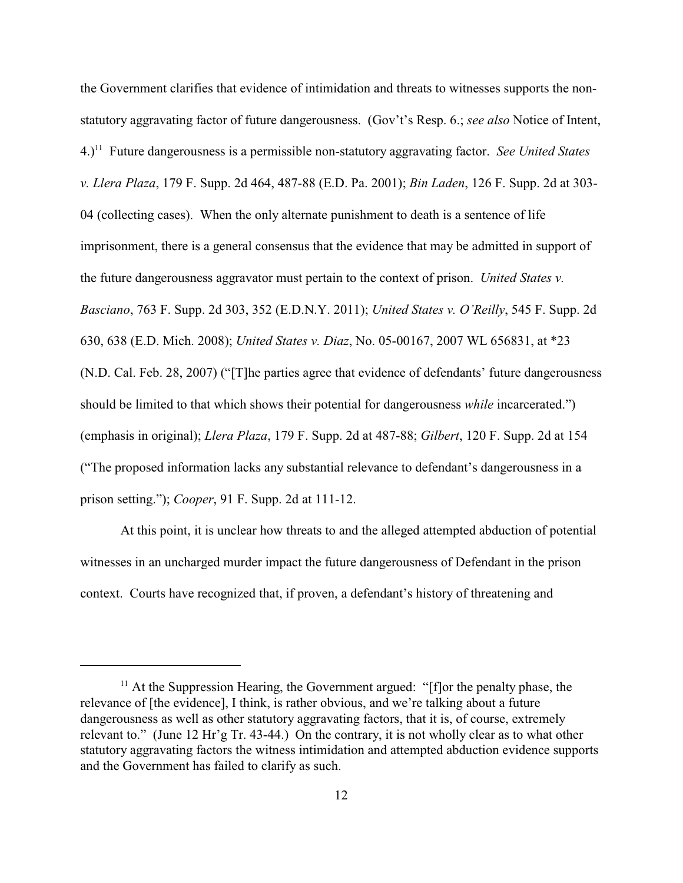the Government clarifies that evidence of intimidation and threats to witnesses supports the nonstatutory aggravating factor of future dangerousness. (Gov't's Resp. 6.; *see also* Notice of Intent, 4.)<sup>11</sup> Future dangerousness is a permissible non-statutory aggravating factor. *See United States v. Llera Plaza*, 179 F. Supp. 2d 464, 487-88 (E.D. Pa. 2001); *Bin Laden*, 126 F. Supp. 2d at 303- 04 (collecting cases). When the only alternate punishment to death is a sentence of life imprisonment, there is a general consensus that the evidence that may be admitted in support of the future dangerousness aggravator must pertain to the context of prison. *United States v. Basciano*, 763 F. Supp. 2d 303, 352 (E.D.N.Y. 2011); *United States v. O'Reilly*, 545 F. Supp. 2d 630, 638 (E.D. Mich. 2008); *United States v. Diaz*, No. 05-00167, 2007 WL 656831, at \*23 (N.D. Cal. Feb. 28, 2007) ("[T]he parties agree that evidence of defendants' future dangerousness should be limited to that which shows their potential for dangerousness *while* incarcerated.") (emphasis in original); *Llera Plaza*, 179 F. Supp. 2d at 487-88; *Gilbert*, 120 F. Supp. 2d at 154 ("The proposed information lacks any substantial relevance to defendant's dangerousness in a prison setting."); *Cooper*, 91 F. Supp. 2d at 111-12.

At this point, it is unclear how threats to and the alleged attempted abduction of potential witnesses in an uncharged murder impact the future dangerousness of Defendant in the prison context. Courts have recognized that, if proven, a defendant's history of threatening and

 $<sup>11</sup>$  At the Suppression Hearing, the Government argued: "[f]or the penalty phase, the</sup> relevance of [the evidence], I think, is rather obvious, and we're talking about a future dangerousness as well as other statutory aggravating factors, that it is, of course, extremely relevant to." (June 12 Hr'g Tr. 43-44.) On the contrary, it is not wholly clear as to what other statutory aggravating factors the witness intimidation and attempted abduction evidence supports and the Government has failed to clarify as such.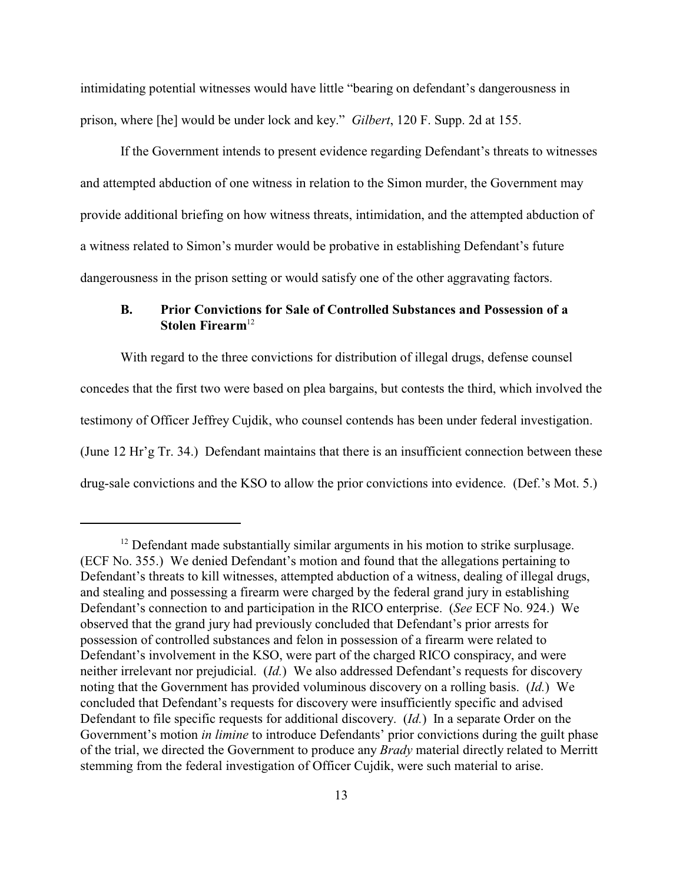intimidating potential witnesses would have little "bearing on defendant's dangerousness in prison, where [he] would be under lock and key." *Gilbert*, 120 F. Supp. 2d at 155.

If the Government intends to present evidence regarding Defendant's threats to witnesses and attempted abduction of one witness in relation to the Simon murder, the Government may provide additional briefing on how witness threats, intimidation, and the attempted abduction of a witness related to Simon's murder would be probative in establishing Defendant's future dangerousness in the prison setting or would satisfy one of the other aggravating factors.

## **B. Prior Convictions for Sale of Controlled Substances and Possession of a Stolen Firearm**<sup>12</sup>

With regard to the three convictions for distribution of illegal drugs, defense counsel concedes that the first two were based on plea bargains, but contests the third, which involved the testimony of Officer Jeffrey Cujdik, who counsel contends has been under federal investigation. (June 12 Hr'g Tr. 34.) Defendant maintains that there is an insufficient connection between these drug-sale convictions and the KSO to allow the prior convictions into evidence. (Def.'s Mot. 5.)

 $12$  Defendant made substantially similar arguments in his motion to strike surplusage. (ECF No. 355.) We denied Defendant's motion and found that the allegations pertaining to Defendant's threats to kill witnesses, attempted abduction of a witness, dealing of illegal drugs, and stealing and possessing a firearm were charged by the federal grand jury in establishing Defendant's connection to and participation in the RICO enterprise. (*See* ECF No. 924.) We observed that the grand jury had previously concluded that Defendant's prior arrests for possession of controlled substances and felon in possession of a firearm were related to Defendant's involvement in the KSO, were part of the charged RICO conspiracy, and were neither irrelevant nor prejudicial. (*Id.*) We also addressed Defendant's requests for discovery noting that the Government has provided voluminous discovery on a rolling basis. (*Id.*) We concluded that Defendant's requests for discovery were insufficiently specific and advised Defendant to file specific requests for additional discovery. (*Id.*) In a separate Order on the Government's motion *in limine* to introduce Defendants' prior convictions during the guilt phase of the trial, we directed the Government to produce any *Brady* material directly related to Merritt stemming from the federal investigation of Officer Cujdik, were such material to arise.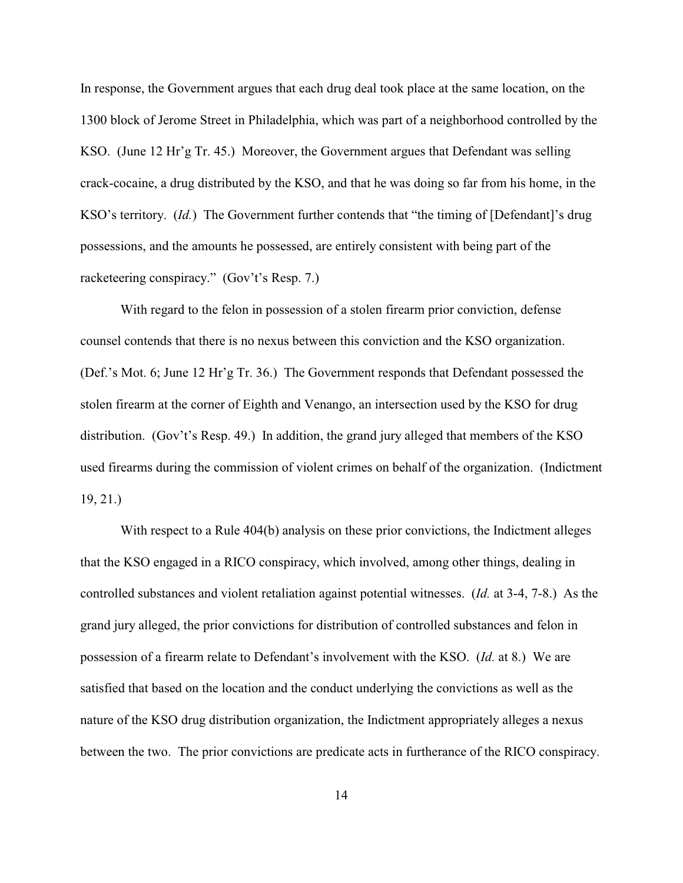In response, the Government argues that each drug deal took place at the same location, on the 1300 block of Jerome Street in Philadelphia, which was part of a neighborhood controlled by the KSO. (June 12 Hr'g Tr. 45.) Moreover, the Government argues that Defendant was selling crack-cocaine, a drug distributed by the KSO, and that he was doing so far from his home, in the KSO's territory. (*Id.*) The Government further contends that "the timing of [Defendant]'s drug possessions, and the amounts he possessed, are entirely consistent with being part of the racketeering conspiracy." (Gov't's Resp. 7.)

With regard to the felon in possession of a stolen firearm prior conviction, defense counsel contends that there is no nexus between this conviction and the KSO organization. (Def.'s Mot. 6; June 12 Hr'g Tr. 36.) The Government responds that Defendant possessed the stolen firearm at the corner of Eighth and Venango, an intersection used by the KSO for drug distribution. (Gov't's Resp. 49.) In addition, the grand jury alleged that members of the KSO used firearms during the commission of violent crimes on behalf of the organization. (Indictment 19, 21.)

With respect to a Rule 404(b) analysis on these prior convictions, the Indictment alleges that the KSO engaged in a RICO conspiracy, which involved, among other things, dealing in controlled substances and violent retaliation against potential witnesses. (*Id.* at 3-4, 7-8.) As the grand jury alleged, the prior convictions for distribution of controlled substances and felon in possession of a firearm relate to Defendant's involvement with the KSO. (*Id.* at 8.) We are satisfied that based on the location and the conduct underlying the convictions as well as the nature of the KSO drug distribution organization, the Indictment appropriately alleges a nexus between the two. The prior convictions are predicate acts in furtherance of the RICO conspiracy.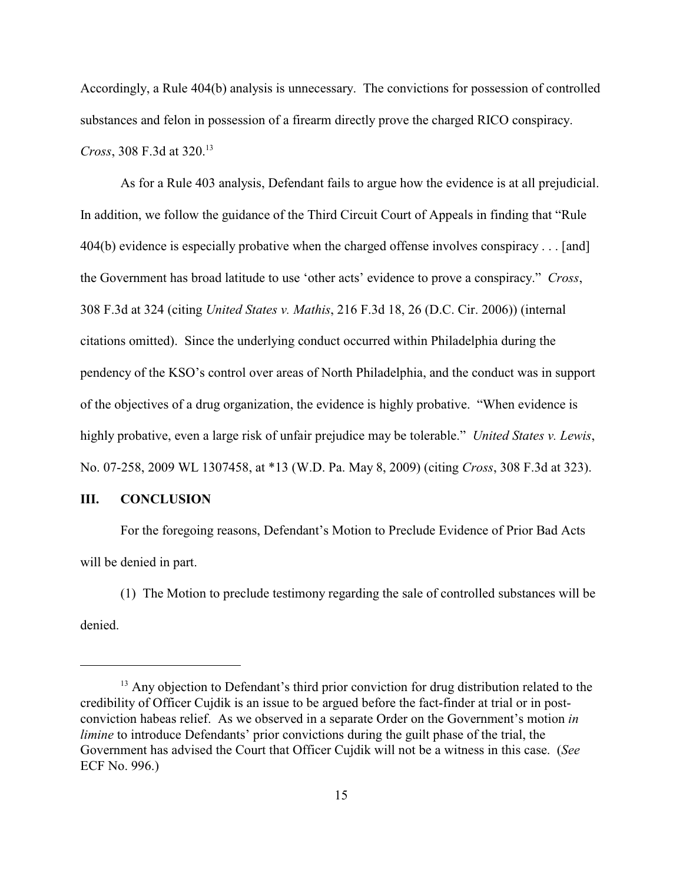Accordingly, a Rule 404(b) analysis is unnecessary. The convictions for possession of controlled substances and felon in possession of a firearm directly prove the charged RICO conspiracy. *Cross*, 308 F.3d at 320. 13

As for a Rule 403 analysis, Defendant fails to argue how the evidence is at all prejudicial. In addition, we follow the guidance of the Third Circuit Court of Appeals in finding that "Rule 404(b) evidence is especially probative when the charged offense involves conspiracy . . . [and] the Government has broad latitude to use 'other acts' evidence to prove a conspiracy." *Cross*, 308 F.3d at 324 (citing *United States v. Mathis*, 216 F.3d 18, 26 (D.C. Cir. 2006)) (internal citations omitted). Since the underlying conduct occurred within Philadelphia during the pendency of the KSO's control over areas of North Philadelphia, and the conduct was in support of the objectives of a drug organization, the evidence is highly probative. "When evidence is highly probative, even a large risk of unfair prejudice may be tolerable." *United States v. Lewis*, No. 07-258, 2009 WL 1307458, at \*13 (W.D. Pa. May 8, 2009) (citing *Cross*, 308 F.3d at 323).

### **III. CONCLUSION**

For the foregoing reasons, Defendant's Motion to Preclude Evidence of Prior Bad Acts will be denied in part.

(1) The Motion to preclude testimony regarding the sale of controlled substances will be denied.

 $^{13}$  Any objection to Defendant's third prior conviction for drug distribution related to the credibility of Officer Cujdik is an issue to be argued before the fact-finder at trial or in postconviction habeas relief. As we observed in a separate Order on the Government's motion *in limine* to introduce Defendants' prior convictions during the guilt phase of the trial, the Government has advised the Court that Officer Cujdik will not be a witness in this case. (*See* ECF No. 996.)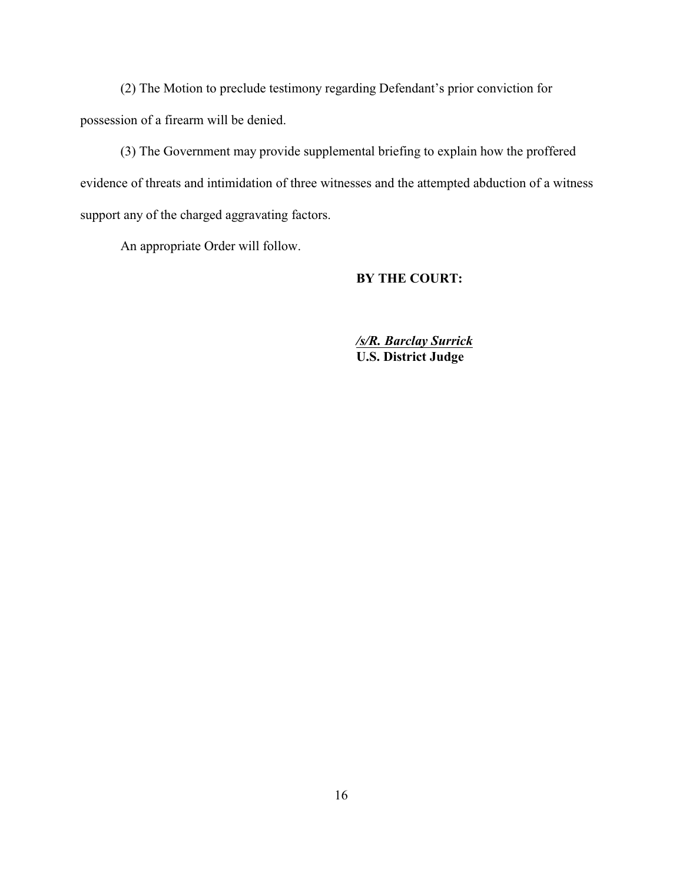(2) The Motion to preclude testimony regarding Defendant's prior conviction for possession of a firearm will be denied.

(3) The Government may provide supplemental briefing to explain how the proffered evidence of threats and intimidation of three witnesses and the attempted abduction of a witness support any of the charged aggravating factors.

An appropriate Order will follow.

# **BY THE COURT:**

*/s/R. Barclay Surrick* **U.S. District Judge**